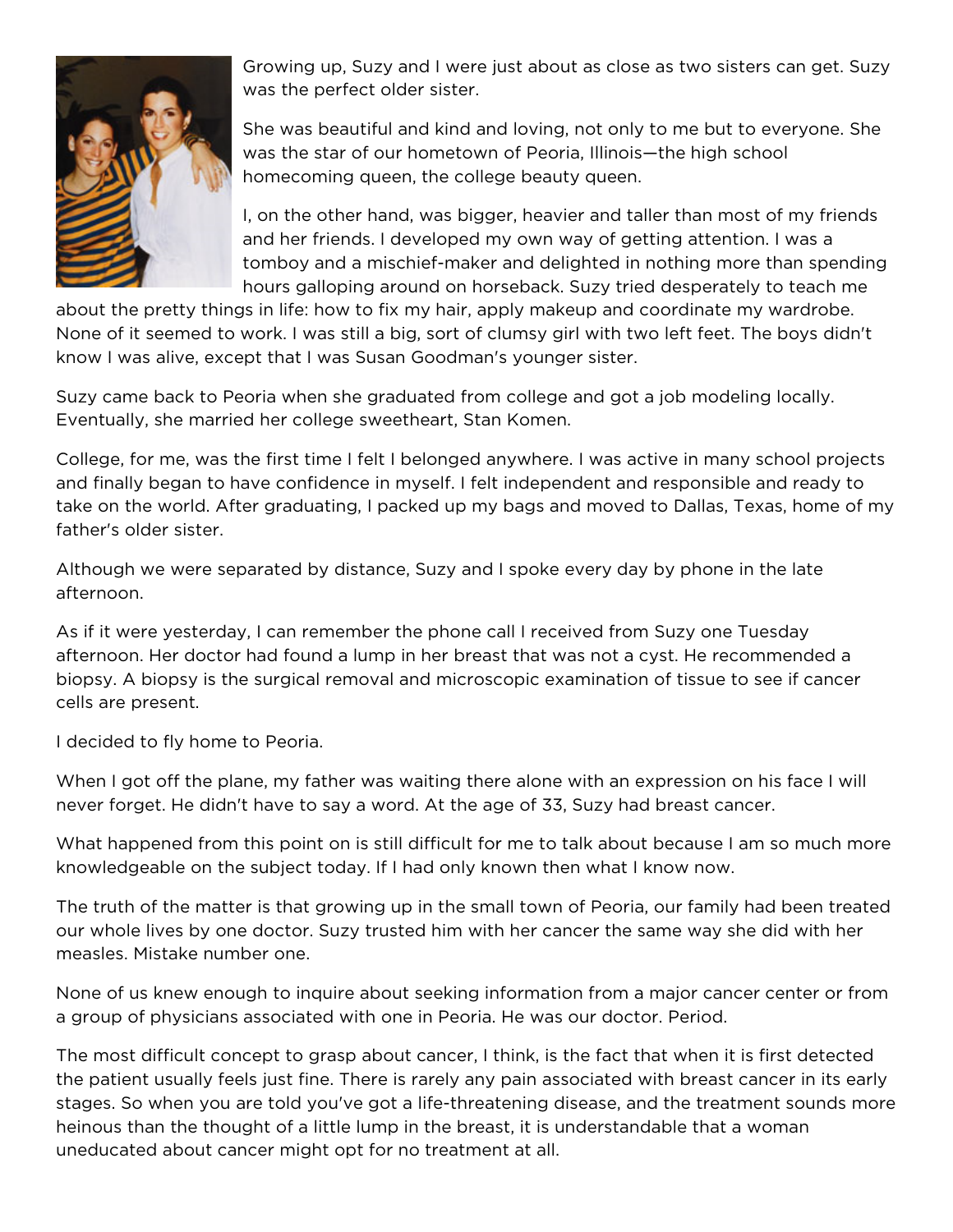

Growing up, Suzy and I were just about as close as two sisters can get. Suzy was the perfect older sister.

She was beautiful and kind and loving, not only to me but to everyone. She was the star of our hometown of Peoria, Illinois—the high school homecoming queen, the college beauty queen.

I, on the other hand, was bigger, heavier and taller than most of my friends and her friends. I developed my own way of getting attention. I was a tomboy and a mischief-maker and delighted in nothing more than spending hours galloping around on horseback. Suzy tried desperately to teach me

about the pretty things in life: how to fix my hair, apply makeup and coordinate my wardrobe. None of it seemed to work. I was still a big, sort of clumsy girl with two left feet. The boys didn't know I was alive, except that I was Susan Goodman's younger sister.

Suzy came back to Peoria when she graduated from college and got a job modeling locally. Eventually, she married her college sweetheart, Stan Komen.

College, for me, was the first time I felt I belonged anywhere. I was active in many school projects and finally began to have confidence in myself. I felt independent and responsible and ready to take on the world. After graduating, I packed up my bags and moved to Dallas, Texas, home of my father's older sister.

Although we were separated by distance, Suzy and I spoke every day by phone in the late afternoon.

As if it were yesterday, I can remember the phone call I received from Suzy one Tuesday afternoon. Her doctor had found a lump in her breast that was not a cyst. He recommended a biopsy. A biopsy is the surgical removal and microscopic examination of tissue to see if cancer cells are present.

I decided to fly home to Peoria.

When I got off the plane, my father was waiting there alone with an expression on his face I will never forget. He didn't have to say a word. At the age of 33, Suzy had breast cancer.

What happened from this point on is still difficult for me to talk about because I am so much more knowledgeable on the subject today. If I had only known then what I know now.

The truth of the matter is that growing up in the small town of Peoria, our family had been treated our whole lives by one doctor. Suzy trusted him with her cancer the same way she did with her measles. Mistake number one.

None of us knew enough to inquire about seeking information from a major cancer center or from a group of physicians associated with one in Peoria. He was our doctor. Period.

The most difficult concept to grasp about cancer, I think, is the fact that when it is first detected the patient usually feels just fine. There is rarely any pain associated with breast cancer in its early stages. So when you are told you've got a life-threatening disease, and the treatment sounds more heinous than the thought of a little lump in the breast, it is understandable that a woman uneducated about cancer might opt for no treatment at all.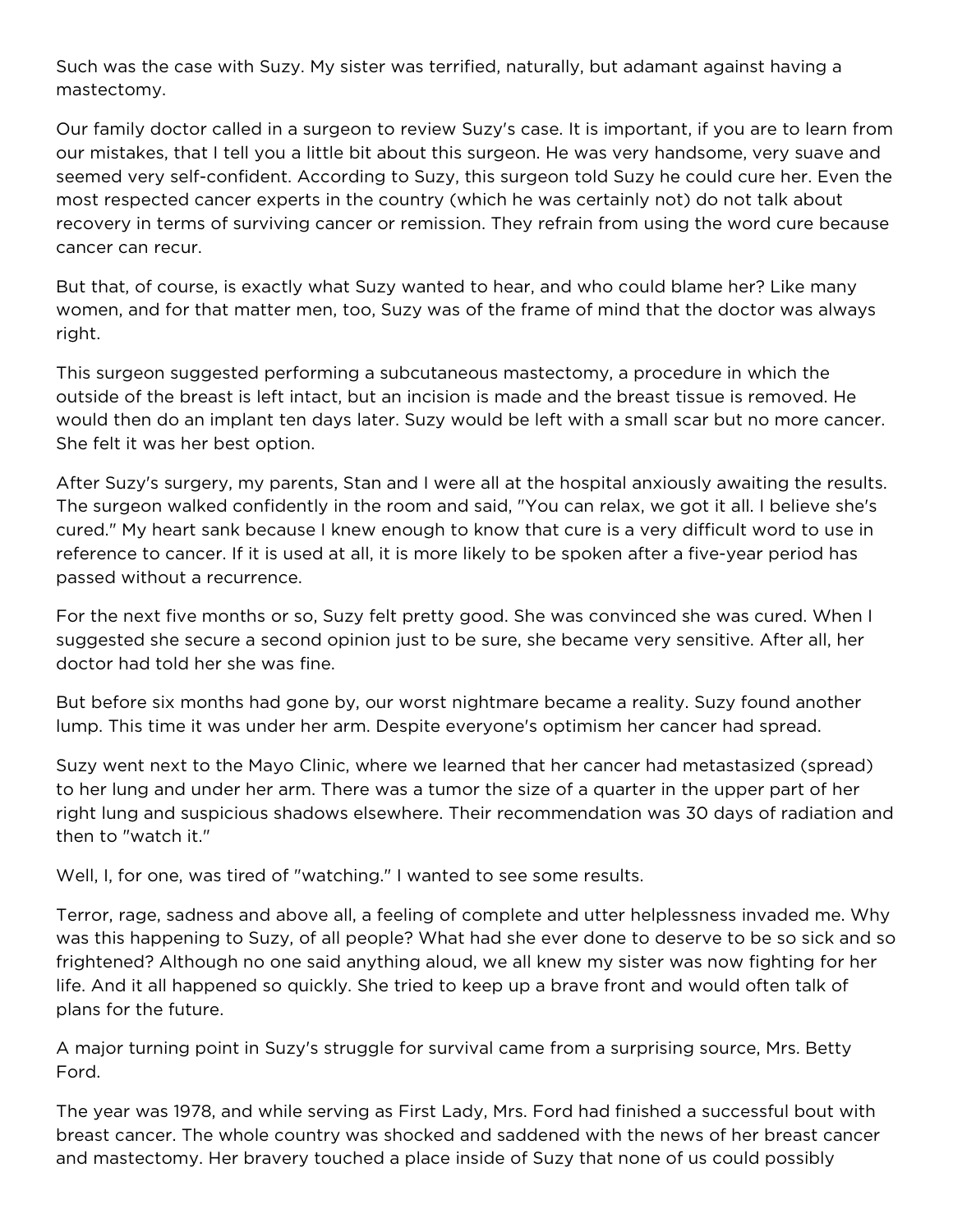Such was the case with Suzy. My sister was terrified, naturally, but adamant against having a mastectomy.

Our family doctor called in a surgeon to review Suzy's case. It is important, if you are to learn from our mistakes, that I tell you a little bit about this surgeon. He was very handsome, very suave and seemed very self-confident. According to Suzy, this surgeon told Suzy he could cure her. Even the most respected cancer experts in the country (which he was certainly not) do not talk about recovery in terms of surviving cancer or remission. They refrain from using the word cure because cancer can recur.

But that, of course, is exactly what Suzy wanted to hear, and who could blame her? Like many women, and for that matter men, too, Suzy was of the frame of mind that the doctor was always right.

This surgeon suggested performing a subcutaneous mastectomy, a procedure in which the outside of the breast is left intact, but an incision is made and the breast tissue is removed. He would then do an implant ten days later. Suzy would be left with a small scar but no more cancer. She felt it was her best option.

After Suzy's surgery, my parents, Stan and I were all at the hospital anxiously awaiting the results. The surgeon walked confidently in the room and said, "You can relax, we got it all. I believe she's cured." My heart sank because I knew enough to know that cure is a very difficult word to use in reference to cancer. If it is used at all, it is more likely to be spoken after a five-year period has passed without a recurrence.

For the next five months or so, Suzy felt pretty good. She was convinced she was cured. When I suggested she secure a second opinion just to be sure, she became very sensitive. After all, her doctor had told her she was fine.

But before six months had gone by, our worst nightmare became a reality. Suzy found another lump. This time it was under her arm. Despite everyone's optimism her cancer had spread.

Suzy went next to the Mayo Clinic, where we learned that her cancer had metastasized (spread) to her lung and under her arm. There was a tumor the size of a quarter in the upper part of her right lung and suspicious shadows elsewhere. Their recommendation was 30 days of radiation and then to "watch it."

Well, I, for one, was tired of "watching." I wanted to see some results.

Terror, rage, sadness and above all, a feeling of complete and utter helplessness invaded me. Why was this happening to Suzy, of all people? What had she ever done to deserve to be so sick and so frightened? Although no one said anything aloud, we all knew my sister was now fighting for her life. And it all happened so quickly. She tried to keep up a brave front and would often talk of plans for the future.

A major turning point in Suzy's struggle for survival came from a surprising source, Mrs. Betty Ford.

The year was 1978, and while serving as First Lady, Mrs. Ford had finished a successful bout with breast cancer. The whole country was shocked and saddened with the news of her breast cancer and mastectomy. Her bravery touched a place inside of Suzy that none of us could possibly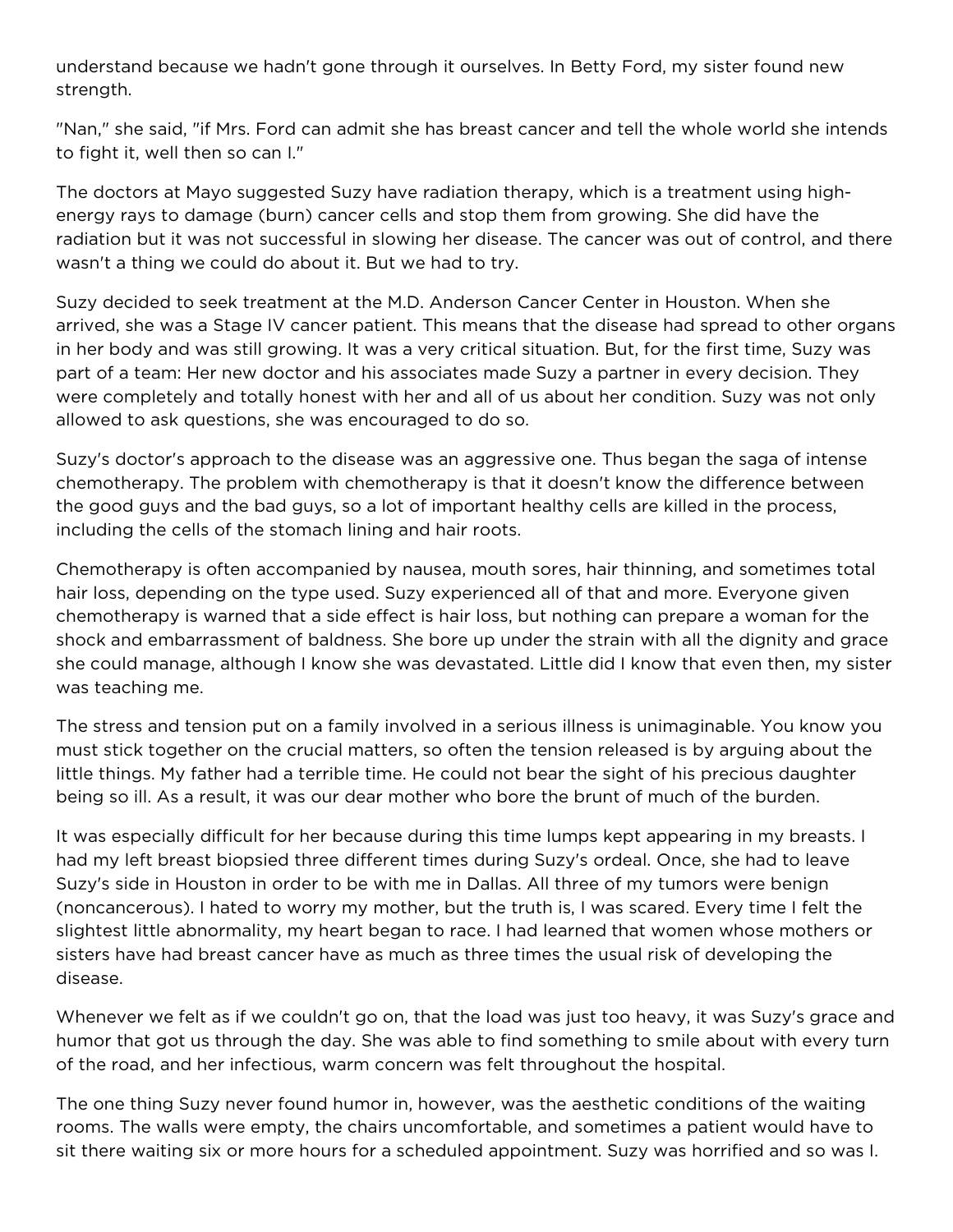understand because we hadn't gone through it ourselves. In Betty Ford, my sister found new strength.

"Nan," she said, "if Mrs. Ford can admit she has breast cancer and tell the whole world she intends to fight it, well then so can I."

The doctors at Mayo suggested Suzy have radiation therapy, which is a treatment using highenergy rays to damage (burn) cancer cells and stop them from growing. She did have the radiation but it was not successful in slowing her disease. The cancer was out of control, and there wasn't a thing we could do about it. But we had to try.

Suzy decided to seek treatment at the M.D. Anderson Cancer Center in Houston. When she arrived, she was a Stage IV cancer patient. This means that the disease had spread to other organs in her body and was still growing. It was a very critical situation. But, for the first time, Suzy was part of a team: Her new doctor and his associates made Suzy a partner in every decision. They were completely and totally honest with her and all of us about her condition. Suzy was not only allowed to ask questions, she was encouraged to do so.

Suzy's doctor's approach to the disease was an aggressive one. Thus began the saga of intense chemotherapy. The problem with chemotherapy is that it doesn't know the difference between the good guys and the bad guys, so a lot of important healthy cells are killed in the process, including the cells of the stomach lining and hair roots.

Chemotherapy is often accompanied by nausea, mouth sores, hair thinning, and sometimes total hair loss, depending on the type used. Suzy experienced all of that and more. Everyone given chemotherapy is warned that a side effect is hair loss, but nothing can prepare a woman for the shock and embarrassment of baldness. She bore up under the strain with all the dignity and grace she could manage, although I know she was devastated. Little did I know that even then, my sister was teaching me.

The stress and tension put on a family involved in a serious illness is unimaginable. You know you must stick together on the crucial matters, so often the tension released is by arguing about the little things. My father had a terrible time. He could not bear the sight of his precious daughter being so ill. As a result, it was our dear mother who bore the brunt of much of the burden.

It was especially difficult for her because during this time lumps kept appearing in my breasts. I had my left breast biopsied three different times during Suzy's ordeal. Once, she had to leave Suzy's side in Houston in order to be with me in Dallas. All three of my tumors were benign (noncancerous). I hated to worry my mother, but the truth is, I was scared. Every time I felt the slightest little abnormality, my heart began to race. I had learned that women whose mothers or sisters have had breast cancer have as much as three times the usual risk of developing the disease.

Whenever we felt as if we couldn't go on, that the load was just too heavy, it was Suzy's grace and humor that got us through the day. She was able to find something to smile about with every turn of the road, and her infectious, warm concern was felt throughout the hospital.

The one thing Suzy never found humor in, however, was the aesthetic conditions of the waiting rooms. The walls were empty, the chairs uncomfortable, and sometimes a patient would have to sit there waiting six or more hours for a scheduled appointment. Suzy was horrified and so was I.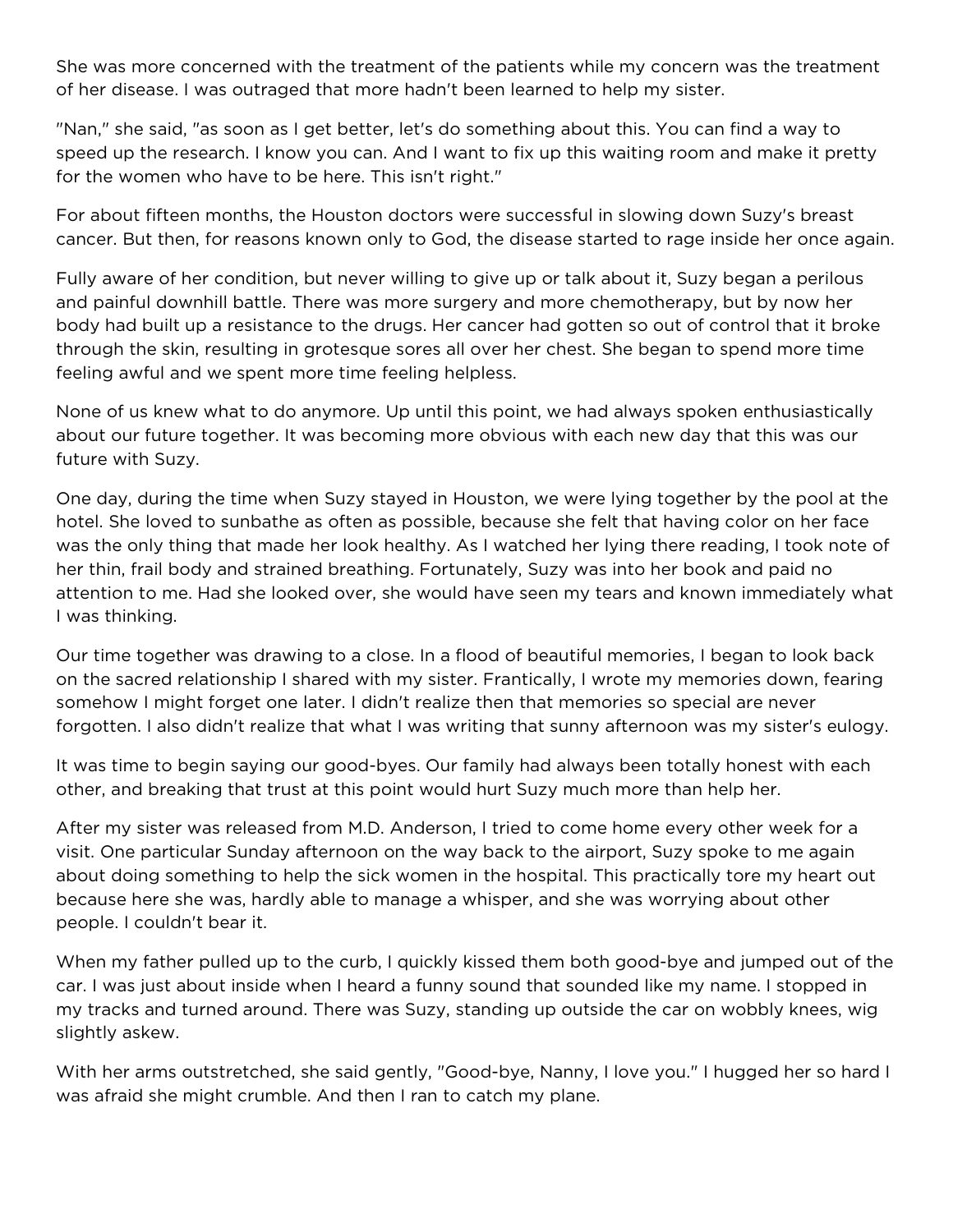She was more concerned with the treatment of the patients while my concern was the treatment of her disease. I was outraged that more hadn't been learned to help my sister.

"Nan," she said, "as soon as I get better, let's do something about this. You can find a way to speed up the research. I know you can. And I want to fix up this waiting room and make it pretty for the women who have to be here. This isn't right."

For about fifteen months, the Houston doctors were successful in slowing down Suzy's breast cancer. But then, for reasons known only to God, the disease started to rage inside her once again.

Fully aware of her condition, but never willing to give up or talk about it, Suzy began a perilous and painful downhill battle. There was more surgery and more chemotherapy, but by now her body had built up a resistance to the drugs. Her cancer had gotten so out of control that it broke through the skin, resulting in grotesque sores all over her chest. She began to spend more time feeling awful and we spent more time feeling helpless.

None of us knew what to do anymore. Up until this point, we had always spoken enthusiastically about our future together. It was becoming more obvious with each new day that this was our future with Suzy.

One day, during the time when Suzy stayed in Houston, we were lying together by the pool at the hotel. She loved to sunbathe as often as possible, because she felt that having color on her face was the only thing that made her look healthy. As I watched her lying there reading, I took note of her thin, frail body and strained breathing. Fortunately, Suzy was into her book and paid no attention to me. Had she looked over, she would have seen my tears and known immediately what I was thinking.

Our time together was drawing to a close. In a flood of beautiful memories, I began to look back on the sacred relationship I shared with my sister. Frantically, I wrote my memories down, fearing somehow I might forget one later. I didn't realize then that memories so special are never forgotten. I also didn't realize that what I was writing that sunny afternoon was my sister's eulogy.

It was time to begin saying our good-byes. Our family had always been totally honest with each other, and breaking that trust at this point would hurt Suzy much more than help her.

After my sister was released from M.D. Anderson, I tried to come home every other week for a visit. One particular Sunday afternoon on the way back to the airport, Suzy spoke to me again about doing something to help the sick women in the hospital. This practically tore my heart out because here she was, hardly able to manage a whisper, and she was worrying about other people. I couldn't bear it.

When my father pulled up to the curb, I quickly kissed them both good-bye and jumped out of the car. I was just about inside when I heard a funny sound that sounded like my name. I stopped in my tracks and turned around. There was Suzy, standing up outside the car on wobbly knees, wig slightly askew.

With her arms outstretched, she said gently, "Good-bye, Nanny, I love you." I hugged her so hard I was afraid she might crumble. And then I ran to catch my plane.